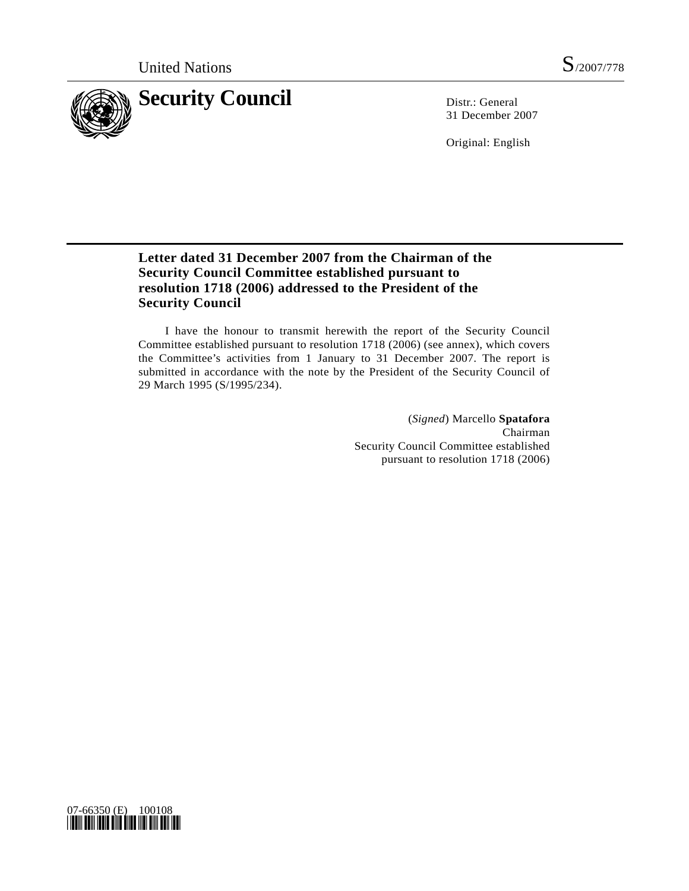

31 December 2007

Original: English

# **Letter dated 31 December 2007 from the Chairman of the Security Council Committee established pursuant to resolution 1718 (2006) addressed to the President of the Security Council**

 I have the honour to transmit herewith the report of the Security Council Committee established pursuant to resolution 1718 (2006) (see annex), which covers the Committee's activities from 1 January to 31 December 2007. The report is submitted in accordance with the note by the President of the Security Council of 29 March 1995 (S/1995/234).

> (*Signed*) Marcello **Spatafora** Chairman Security Council Committee established pursuant to resolution 1718 (2006)

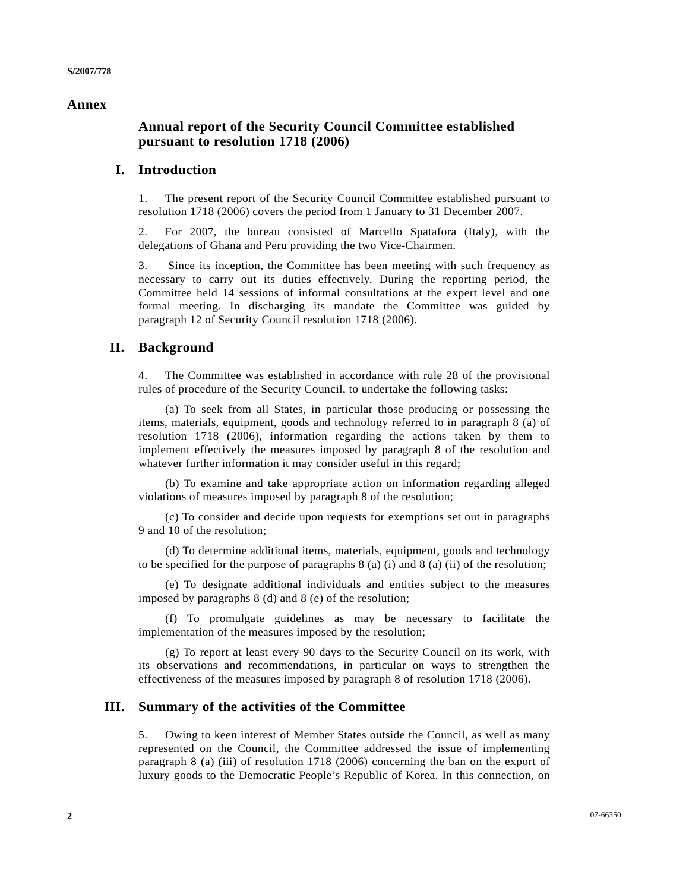#### **Annex**

## **Annual report of the Security Council Committee established pursuant to resolution 1718 (2006)**

#### **I. Introduction**

1. The present report of the Security Council Committee established pursuant to resolution 1718 (2006) covers the period from 1 January to 31 December 2007.

2. For 2007, the bureau consisted of Marcello Spatafora (Italy), with the delegations of Ghana and Peru providing the two Vice-Chairmen.

3. Since its inception, the Committee has been meeting with such frequency as necessary to carry out its duties effectively. During the reporting period, the Committee held 14 sessions of informal consultations at the expert level and one formal meeting. In discharging its mandate the Committee was guided by paragraph 12 of Security Council resolution 1718 (2006).

#### **II. Background**

4. The Committee was established in accordance with rule 28 of the provisional rules of procedure of the Security Council, to undertake the following tasks:

 (a) To seek from all States, in particular those producing or possessing the items, materials, equipment, goods and technology referred to in paragraph 8 (a) of resolution 1718 (2006), information regarding the actions taken by them to implement effectively the measures imposed by paragraph 8 of the resolution and whatever further information it may consider useful in this regard;

 (b) To examine and take appropriate action on information regarding alleged violations of measures imposed by paragraph 8 of the resolution;

 (c) To consider and decide upon requests for exemptions set out in paragraphs 9 and 10 of the resolution;

 (d) To determine additional items, materials, equipment, goods and technology to be specified for the purpose of paragraphs  $8$  (a) (i) and  $8$  (a) (ii) of the resolution;

 (e) To designate additional individuals and entities subject to the measures imposed by paragraphs 8 (d) and 8 (e) of the resolution;

 (f) To promulgate guidelines as may be necessary to facilitate the implementation of the measures imposed by the resolution;

 (g) To report at least every 90 days to the Security Council on its work, with its observations and recommendations, in particular on ways to strengthen the effectiveness of the measures imposed by paragraph 8 of resolution 1718 (2006).

#### **III. Summary of the activities of the Committee**

5. Owing to keen interest of Member States outside the Council, as well as many represented on the Council, the Committee addressed the issue of implementing paragraph 8 (a) (iii) of resolution 1718 (2006) concerning the ban on the export of luxury goods to the Democratic People's Republic of Korea. In this connection, on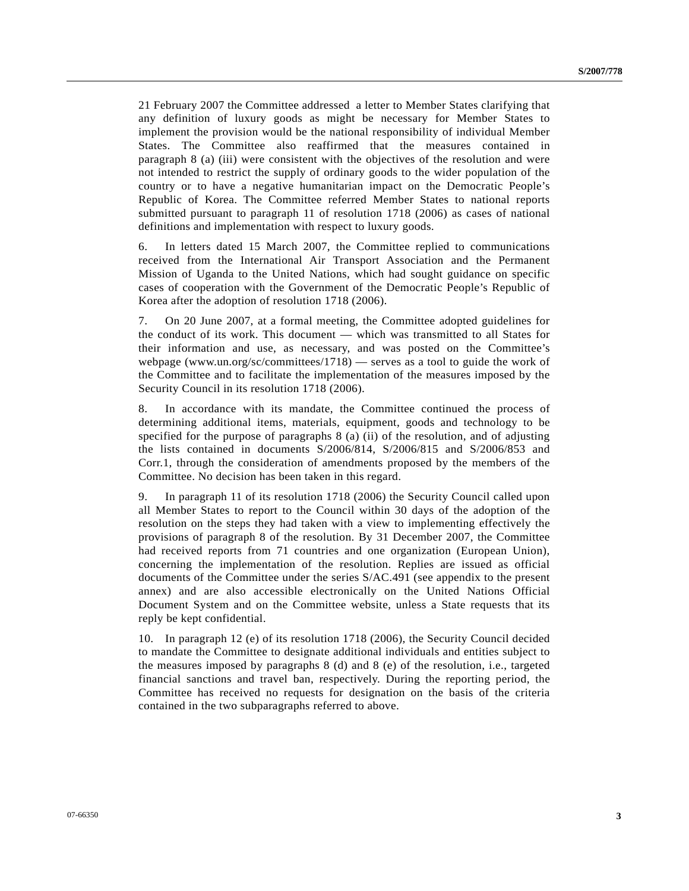21 February 2007 the Committee addressed a letter to Member States clarifying that any definition of luxury goods as might be necessary for Member States to implement the provision would be the national responsibility of individual Member States. The Committee also reaffirmed that the measures contained in paragraph 8 (a) (iii) were consistent with the objectives of the resolution and were not intended to restrict the supply of ordinary goods to the wider population of the country or to have a negative humanitarian impact on the Democratic People's Republic of Korea. The Committee referred Member States to national reports submitted pursuant to paragraph 11 of resolution 1718 (2006) as cases of national definitions and implementation with respect to luxury goods.

6. In letters dated 15 March 2007, the Committee replied to communications received from the International Air Transport Association and the Permanent Mission of Uganda to the United Nations, which had sought guidance on specific cases of cooperation with the Government of the Democratic People's Republic of Korea after the adoption of resolution 1718 (2006).

7. On 20 June 2007, at a formal meeting, the Committee adopted guidelines for the conduct of its work. This document — which was transmitted to all States for their information and use, as necessary, and was posted on the Committee's webpage (www.un.org/sc/committees/1718) — serves as a tool to guide the work of the Committee and to facilitate the implementation of the measures imposed by the Security Council in its resolution 1718 (2006).

8. In accordance with its mandate, the Committee continued the process of determining additional items, materials, equipment, goods and technology to be specified for the purpose of paragraphs 8 (a) (ii) of the resolution, and of adjusting the lists contained in documents S/2006/814, S/2006/815 and S/2006/853 and Corr.1, through the consideration of amendments proposed by the members of the Committee. No decision has been taken in this regard.

9. In paragraph 11 of its resolution 1718 (2006) the Security Council called upon all Member States to report to the Council within 30 days of the adoption of the resolution on the steps they had taken with a view to implementing effectively the provisions of paragraph 8 of the resolution. By 31 December 2007, the Committee had received reports from 71 countries and one organization (European Union), concerning the implementation of the resolution. Replies are issued as official documents of the Committee under the series S/AC.491 (see appendix to the present annex) and are also accessible electronically on the United Nations Official Document System and on the Committee website, unless a State requests that its reply be kept confidential.

10. In paragraph 12 (e) of its resolution 1718 (2006), the Security Council decided to mandate the Committee to designate additional individuals and entities subject to the measures imposed by paragraphs 8 (d) and 8 (e) of the resolution, i.e., targeted financial sanctions and travel ban, respectively. During the reporting period, the Committee has received no requests for designation on the basis of the criteria contained in the two subparagraphs referred to above.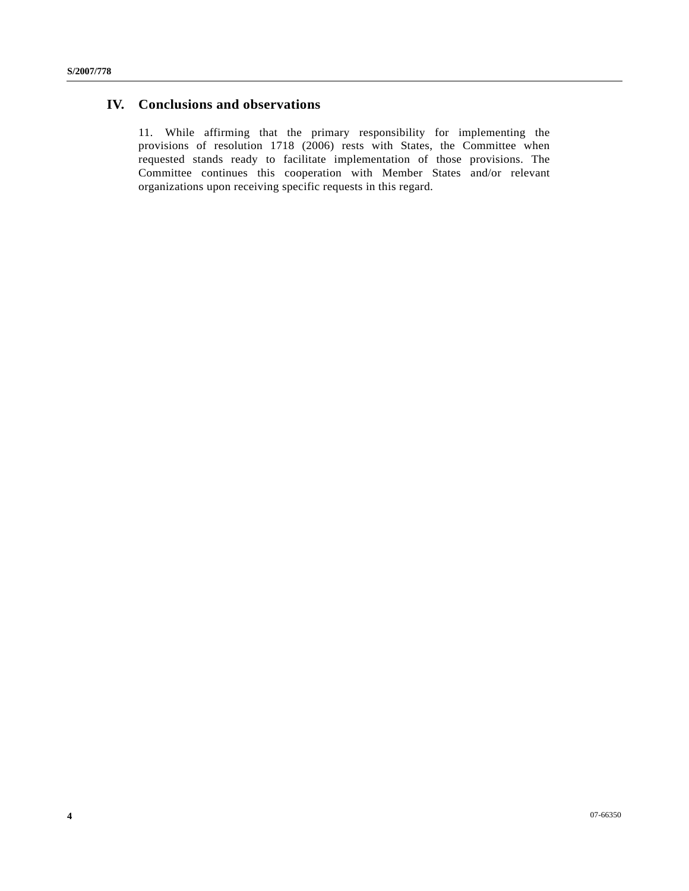### **IV. Conclusions and observations**

11. While affirming that the primary responsibility for implementing the provisions of resolution 1718 (2006) rests with States, the Committee when requested stands ready to facilitate implementation of those provisions. The Committee continues this cooperation with Member States and/or relevant organizations upon receiving specific requests in this regard.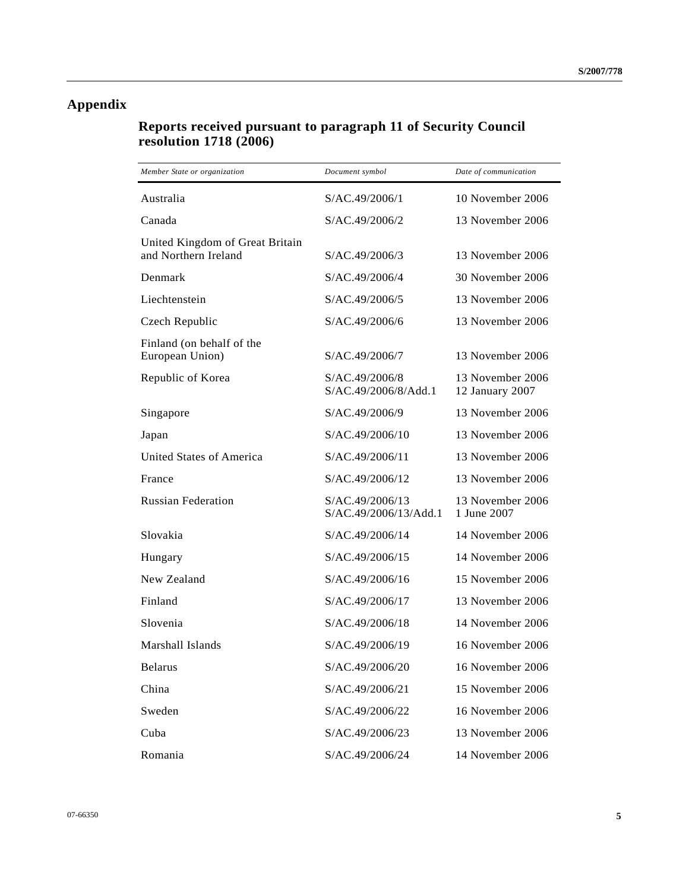# **Appendix**

# **Reports received pursuant to paragraph 11 of Security Council resolution 1718 (2006)**

| Member State or organization                            | Document symbol                          | Date of communication               |
|---------------------------------------------------------|------------------------------------------|-------------------------------------|
| Australia                                               | S/AC.49/2006/1                           | 10 November 2006                    |
| Canada                                                  | S/AC.49/2006/2                           | 13 November 2006                    |
| United Kingdom of Great Britain<br>and Northern Ireland | S/AC.49/2006/3                           | 13 November 2006                    |
| Denmark                                                 | S/AC.49/2006/4                           | 30 November 2006                    |
| Liechtenstein                                           | S/AC.49/2006/5                           | 13 November 2006                    |
| Czech Republic                                          | S/AC.49/2006/6                           | 13 November 2006                    |
| Finland (on behalf of the<br>European Union)            | S/AC.49/2006/7                           | 13 November 2006                    |
| Republic of Korea                                       | S/AC.49/2006/8<br>S/AC.49/2006/8/Add.1   | 13 November 2006<br>12 January 2007 |
| Singapore                                               | S/AC.49/2006/9                           | 13 November 2006                    |
| Japan                                                   | S/AC.49/2006/10                          | 13 November 2006                    |
| United States of America                                | S/AC.49/2006/11                          | 13 November 2006                    |
| France                                                  | S/AC.49/2006/12                          | 13 November 2006                    |
| <b>Russian Federation</b>                               | S/AC.49/2006/13<br>S/AC.49/2006/13/Add.1 | 13 November 2006<br>1 June 2007     |
| Slovakia                                                | S/AC.49/2006/14                          | 14 November 2006                    |
| Hungary                                                 | S/AC.49/2006/15                          | 14 November 2006                    |
| New Zealand                                             | S/AC.49/2006/16                          | 15 November 2006                    |
| Finland                                                 | S/AC.49/2006/17                          | 13 November 2006                    |
| Slovenia                                                | S/AC.49/2006/18                          | 14 November 2006                    |
| Marshall Islands                                        | S/AC.49/2006/19                          | 16 November 2006                    |
| <b>Belarus</b>                                          | S/AC.49/2006/20                          | 16 November 2006                    |
| China                                                   | S/AC.49/2006/21                          | 15 November 2006                    |
| Sweden                                                  | S/AC.49/2006/22                          | 16 November 2006                    |
| Cuba                                                    | S/AC.49/2006/23                          | 13 November 2006                    |
| Romania                                                 | S/AC.49/2006/24                          | 14 November 2006                    |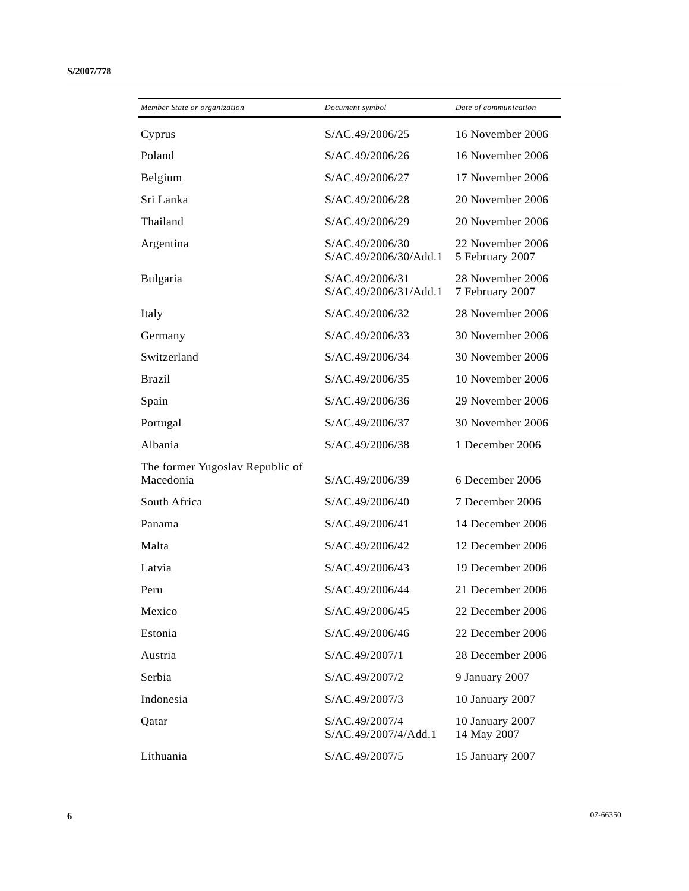| Member State or organization                 | Document symbol                          | Date of communication               |
|----------------------------------------------|------------------------------------------|-------------------------------------|
| Cyprus                                       | S/AC.49/2006/25                          | 16 November 2006                    |
| Poland                                       | S/AC.49/2006/26                          | 16 November 2006                    |
| Belgium                                      | S/AC.49/2006/27                          | 17 November 2006                    |
| Sri Lanka                                    | S/AC.49/2006/28                          | 20 November 2006                    |
| Thailand                                     | S/AC.49/2006/29                          | 20 November 2006                    |
| Argentina                                    | S/AC.49/2006/30<br>S/AC.49/2006/30/Add.1 | 22 November 2006<br>5 February 2007 |
| Bulgaria                                     | S/AC.49/2006/31<br>S/AC.49/2006/31/Add.1 | 28 November 2006<br>7 February 2007 |
| Italy                                        | S/AC.49/2006/32                          | 28 November 2006                    |
| Germany                                      | S/AC.49/2006/33                          | 30 November 2006                    |
| Switzerland                                  | S/AC.49/2006/34                          | 30 November 2006                    |
| <b>Brazil</b>                                | S/AC.49/2006/35                          | 10 November 2006                    |
| Spain                                        | S/AC.49/2006/36                          | 29 November 2006                    |
| Portugal                                     | S/AC.49/2006/37                          | 30 November 2006                    |
| Albania                                      | S/AC.49/2006/38                          | 1 December 2006                     |
| The former Yugoslav Republic of<br>Macedonia | S/AC.49/2006/39                          | 6 December 2006                     |
| South Africa                                 | S/AC.49/2006/40                          | 7 December 2006                     |
| Panama                                       | S/AC.49/2006/41                          | 14 December 2006                    |
| Malta                                        | S/AC.49/2006/42                          | 12 December 2006                    |
| Latvia                                       | S/AC.49/2006/43                          | 19 December 2006                    |
| Peru                                         | S/AC.49/2006/44                          | 21 December 2006                    |
| Mexico                                       | S/AC.49/2006/45                          | 22 December 2006                    |
| Estonia                                      | S/AC.49/2006/46                          | 22 December 2006                    |
| Austria                                      | S/AC.49/2007/1                           | 28 December 2006                    |
| Serbia                                       | S/AC.49/2007/2                           | 9 January 2007                      |
| Indonesia                                    | S/AC.49/2007/3                           | 10 January 2007                     |
| Qatar                                        | S/AC.49/2007/4<br>S/AC.49/2007/4/Add.1   | 10 January 2007<br>14 May 2007      |
| Lithuania                                    | S/AC.49/2007/5                           | 15 January 2007                     |